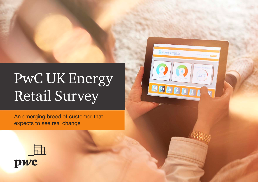# PwC UK Energy Retail Survey

An emerging breed of customer that expects to see real change



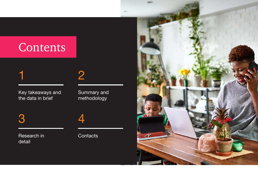## Contents

#### 2

Key takeaways and the data in brief

Summary and methodology

### 3 4

1

Research in detail

#### **Contacts**

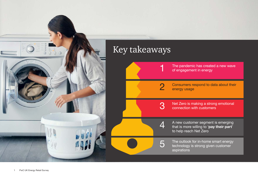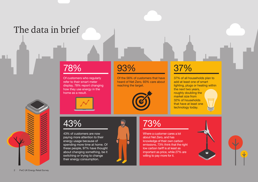### The data in brief

#### 78%

Of customers who regularly refer to their smart meter display, 78% report changing how they use energy in the home as a result.



### 43%

43% of customers are now paying more attention to their energy usage because of spending more time at home. Of these people, 97% have thought about changing something, be it switching or trying to change their energy consumption.

#### 93%

Of the 56% of customers that have heard of Net Zero, 93% care about reaching the target.



#### 37%

37% of all households plan to add at least one of smart lighting, plugs or heating within the next two years, roughly doubling the market size from 32% of households that have at least one technology today.

#### 73%

Where a customer cares a lot about Net Zero, and has knowledge of their own carbon emissions, 73% think that the right low carbon tariff is at least as important as price, while 27% are willing to pay more for it.



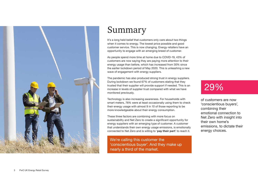

#### Summary

It's a long held belief that customers only care about two things when it comes to energy. The lowest price possible and good customer service. This is now changing. Energy retailers have an opportunity to engage with an emerging breed of customer.

As people spend more time at home due to COVID-19, 43% of customers are now saying they are paying more attention to their energy usage than before, which has increased from 30% since the earlier lockdown period of May 2020. This is unleashing a new wave of engagement with energy suppliers.

The pandemic has also produced strong trust in energy suppliers. During lockdown we found 67% of customers stating that they trusted that their supplier will provide support if needed. This is an increase in levels of supplier trust compared with what we have monitored previously.

Technology is also increasing awareness. For households with smart meters, 76% were at least occasionally using them to check their energy usage with almost 9 in 10 of those reporting to be more knowledgeable about their energy consumption.

These three factors are combining with more focus on sustainability and Net Zero to create a significant opportunity for energy suppliers with an emerging type of customer. A customer that understands their own energy usage emissions, is emotionally connected to Net Zero and is willing to 'pay their part' to reach it.

We're calling this customer the 'conscientious buyer'. And they make up nearly a third of the market.

#### 29%

of customers are now 'conscientious buyers', combining their emotional connection to Net Zero with insight into their own home's emissions, to dictate their energy choices.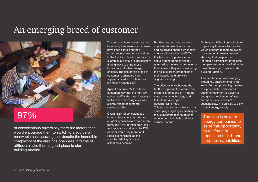#### An emerging breed of customer



of conscientious buyers say there are factors that would encourage them to switch to a source of renewable heat showing that despite the incredible complexity of the area, the openness in terms of attitudes make them a good place to start building traction.

The conscientious buyer may not be a new phenomenon (customers have been exercising their conscientiousness for some time in the food and fashion sectors for example), but they are increasingly finding ways to bring those behaviours into their energy choices. The rise of this breed of customer is changing how suppliers need to position their brand and capabilities.

Apart from price, 22% of these customers say that the right low carbon tariff is the most important factor when choosing a supplier, slightly ahead of customer service at 21%.

Overall 82% of conscientious buyers place some importance on getting access to a low carbon tariff, and 47% of those think it is as important as price, while 27% of them would pay more for it. Price is diminishing as the singular defining factor in selecting a supplier.

But this segment also expects suppliers to take direct action and be driving change when they choose a low carbon tariff. Two thirds expect suppliers to be actively generating or directly purchasing the low carbon energy themselves – they are considering the holistic green credentials of their supplier and are wary of greenwashing.

The effect extends beyond the tariff to opportunities around the propensity to spend on in-home smart energy technology and to build up offerings in decarbonising heat.

This segment is more likely to buy smart plugs, lighting or heating as they expect the technologies to reduce both their bills and their carbon footprint.

On heating, 97% of conscientious buyers say there are factors that would encourage them to switch to a source of renewable heat showing that despite the incredible complexity of the area, the openness in terms of attitudes make them a good place to start building traction.

This combination of converging attitudinal, environmental, and social factors, producing the rise of a potentially underserved customer segment is powerful and given the direction of travel across society in respect of sustainability, it is unlikely to slow in retail energy supply.

energy companies to seize this opportunity to reinforce or reposition their brand and their capabilities.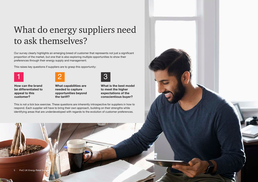### What do energy suppliers need to ask themselves?

Our survey clearly highlights an emerging breed of customer that represents not just a significant proportion of the market, but one that is also exploring multiple opportunities to show their preferences through their energy supply and management.

This raises key questions if suppliers are to grasp this opportunity:

2





How can the brand be differentiated to appeal to this customer?

What capabilities are needed to capture opportunities beyond the tariff?



What is the best model to meet the higher expectations of the conscientious buyer?

This is not a tick box exercise. These questions are inherently introspective for suppliers in how to respond. Each supplier will have to bring their own approach, building on their strengths while identifying areas that are underdeveloped with regards to the evolution of customer preferences.

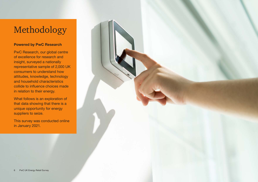### Methodology

#### Powered by PwC Research

PwC Research, our global centre of excellence for research and insight, surveyed a nationally representative sample of 2,000 UK consumers to understand how attitudes, knowledge, technology and household characteristics collide to influence choices made in relation to their energy.

What follows is an exploration of that data showing that there is a unique opportunity for energy suppliers to seize.

This survey was conducted online in January 2021.

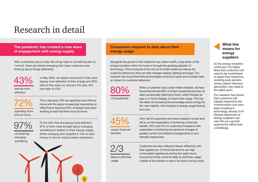#### Research in detail

The pandemic has created a new wave of engagement with energy supply

With uncertainty about when life will go back to something akin to 'normal', there are trends emerging that mean customers are thinking about things differently:

paying more attention 43% In May 2020, we asked consumers if they were paying more attention to their energy and 30% told us they were, by January this year, this had risen to 43%.

spending more time at home 72%

This is because 72% are spending more time at home with the space increasingly resembling an office/home hybrid as 64% of people have been working at least half their hours at home.

97%

considering changing something

Of the 43% that are paying more attention, 97% of them have thought about changing something to relation to their energy supply, either changing who supplies it, how to save money or how to reduce carbon emissions.



#### Consumers respond to data about their energy usage

Alongside the growth in the market for low carbon tariffs, a key driver of the energy transition within the home is through the growing adoption of technology. This is inclusive of the roll out of smart meters as well as the customer electronics that can help manage heating, lighting and plugs. Our research has found that these technologies continue to grow and crucially have an impact on customer behaviour:

80%

of households

expect financial benefits

45%

found that almost 80% of those households are then at least occasionally referring to them, either through an app or in-home display, to check their usage. This has the effect of increasing the knowledge about energy for the vast majority, with changes to energy usage flowing from this.

Only half of customers who have invested in smart tech did so on the expectation of achieving a financial benefit, 45% and 41% of customers invested on the expectation of achieving the personal changes of greater comfort and lifestyle changes (time or ecofriendly) respectively.

Customers are also willing to interact differently with their appliances. Of those that tend to use high consumption appliances during the 'peak hours', around two thirds would be likely to shift their usage outside of the window in return for lower running costs.

#### What this means for energy suppliers

As the energy transition continues, it is highly likely that customers will need to be incentivised to adapt their behaviour, avoiding peak periods where carbon intensive generation may need to be called upon.

Our research has shown that customers will happily respond to this incentivisation and have been investing in technology already to fit lifestyle objectives so energy suppliers can view this as a growth opportunity rather than a challenge.

likely to shift their usage

2/3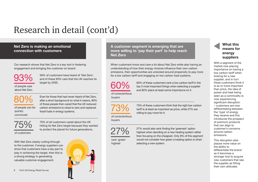### Research in detail (cont'd)

#### Net Zero is making an emotional connection with customers

Our research shows that Net Zero is a key tool in fostering engagement and bringing the customer on board:

of people care about Net Zero 93% 56% of customers have heard of 'Net Zero', and of these 93% care that the UK reaches its target by 2050.

of people can be

80%

quickly convinced

Even for those that had never heard of Net Zero, after a short background on what it means, 80% of those people then cared that the UK reduced carbon emissions to close to zero and replaced fossil fuels in energy systems.

75%

75% of all customers cared about the UK hitting its Net Zero target because they wanted to protect the planet for future generations.

of customers

With Net Zero clearly cutting through to the customer, if energy suppliers can show that customers have a key part to play in achieving the target, then this is a strong strategy in generating valuable customer engagement.

8 PwC UK Energy Retail Survey



A customer segment is emerging that are more willing to 'pay their part' to help reach Net Zero

When customers know and care a lot about Net Zero while also having an understanding of how their energy choices influence their own carbon emissions, then opportunities are unlocked around propensity to pay more for a low carbon tariff and engaging on low carbon heat systems.

60%

60% of these customers rank a low carbon tariff in the top 3 most important things when selecting a supplier and 82% place at least some importance on it.

of conscientious buyers

73%

27%

rank 'green' highest

73% of these customers think that the right low carbon tariff is at least as important as price, while 27% are willing to pay more for it.

of conscientious buyers

> 27% would also rank finding the 'greenest' option highest when deciding on a new heating system rather than focusing on the cheapest. Only 8% of this segment would not consider how green a heating option is when selecting a new system.

#### What this means for energy suppliers

With a segment of the market now placing importance on having a low carbon tariff when looking for a new supplier, and in turn these customers think it is as or more important than price, the idea of power and heat being seen as a commodity is now experiencing significant disruption – customers are now differentiating between the 'type' of energy they receive and this introduces the prospect of premium products that can align to customer's concerns around carbon emissions.

This disruption also places more value on the ability to differentiate the brand as it becomes a stronger tool to acquire new customers that see the supplier as fitting their own attitudes.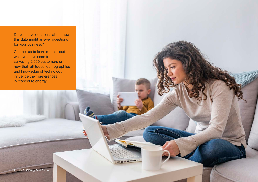Do you have questions about how this data might answer questions for your business?

Contact us to learn more about what we have seen from surveying 2,000 customers on how their attitudes, demographics and knowledge of technology influence their preferences in respect to energy.